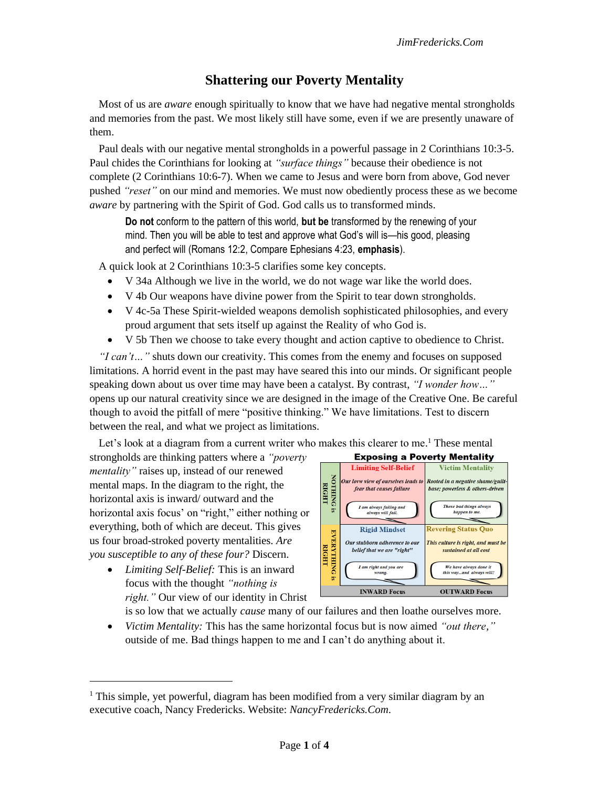## **Shattering our Poverty Mentality**

Most of us are *aware* enough spiritually to know that we have had negative mental strongholds and memories from the past. We most likely still have some, even if we are presently unaware of them.

Paul deals with our negative mental strongholds in a powerful passage in 2 Corinthians 10:3-5. Paul chides the Corinthians for looking at *"surface things"* because their obedience is not complete (2 Corinthians 10:6-7). When we came to Jesus and were born from above, God never pushed *"reset"* on our mind and memories. We must now obediently process these as we become *aware* by partnering with the Spirit of God. God calls us to transformed minds.

**Do not** conform to the pattern of this world, **but be** transformed by the renewing of your mind. Then you will be able to test and approve what God's will is—his good, pleasing and perfect will (Romans 12:2, Compare Ephesians 4:23, **emphasis**).

A quick look at 2 Corinthians 10:3-5 clarifies some key concepts.

- V 34a Although we live in the world, we do not wage war like the world does.
- V 4b Our weapons have divine power from the Spirit to tear down strongholds.
- V 4c-5a These Spirit-wielded weapons demolish sophisticated philosophies, and every proud argument that sets itself up against the Reality of who God is.
- V 5b Then we choose to take every thought and action captive to obedience to Christ.

*"I can't…"* shuts down our creativity. This comes from the enemy and focuses on supposed limitations. A horrid event in the past may have seared this into our minds. Or significant people speaking down about us over time may have been a catalyst. By contrast, *"I wonder how…"*  opens up our natural creativity since we are designed in the image of the Creative One. Be careful though to avoid the pitfall of mere "positive thinking." We have limitations. Test to discern between the real, and what we project as limitations.

Let's look at a diagram from a current writer who makes this clearer to me.<sup>1</sup> These mental

strongholds are thinking patters where a *"poverty mentality"* raises up, instead of our renewed mental maps. In the diagram to the right, the horizontal axis is inward/ outward and the horizontal axis focus' on "right," either nothing or everything, both of which are deceut. This gives us four broad-stroked poverty mentalities. *Are you susceptible to any of these four?* Discern.

• *Limiting Self-Belief:* This is an inward focus with the thought *"nothing is right."* Our view of our identity in Christ



is so low that we actually *cause* many of our failures and then loathe ourselves more.

• *Victim Mentality:* This has the same horizontal focus but is now aimed *"out there,"* outside of me. Bad things happen to me and I can't do anything about it.

<sup>&</sup>lt;sup>1</sup> This simple, yet powerful, diagram has been modified from a very similar diagram by an executive coach, Nancy Fredericks. Website: *NancyFredericks.Com*.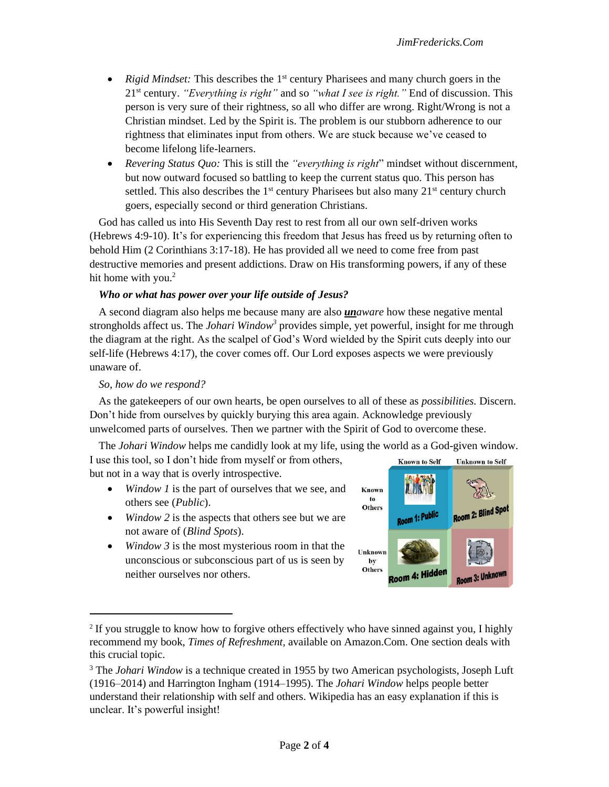- *Rigid Mindset:* This describes the 1<sup>st</sup> century Pharisees and many church goers in the 21st century. *"Everything is right"* and so *"what I see is right."* End of discussion. This person is very sure of their rightness, so all who differ are wrong. Right/Wrong is not a Christian mindset. Led by the Spirit is. The problem is our stubborn adherence to our rightness that eliminates input from others. We are stuck because we've ceased to become lifelong life-learners.
- *Revering Status Quo:* This is still the *"everything is right*" mindset without discernment, but now outward focused so battling to keep the current status quo. This person has settled. This also describes the  $1<sup>st</sup>$  century Pharisees but also many  $21<sup>st</sup>$  century church goers, especially second or third generation Christians.

God has called us into His Seventh Day rest to rest from all our own self-driven works (Hebrews 4:9-10). It's for experiencing this freedom that Jesus has freed us by returning often to behold Him (2 Corinthians 3:17-18). He has provided all we need to come free from past destructive memories and present addictions. Draw on His transforming powers, if any of these hit home with you.<sup>2</sup>

## *Who or what has power over your life outside of Jesus?*

A second diagram also helps me because many are also *unaware* how these negative mental strongholds affect us. The *Johari Window<sup>3</sup>* provides simple, yet powerful, insight for me through the diagram at the right. As the scalpel of God's Word wielded by the Spirit cuts deeply into our self-life (Hebrews 4:17), the cover comes off. Our Lord exposes aspects we were previously unaware of.

## *So, how do we respond?*

As the gatekeepers of our own hearts, be open ourselves to all of these as *possibilities.* Discern. Don't hide from ourselves by quickly burying this area again. Acknowledge previously unwelcomed parts of ourselves. Then we partner with the Spirit of God to overcome these.

The *Johari Window* helps me candidly look at my life, using the world as a God-given window.

I use this tool, so I don't hide from myself or from others, but not in a way that is overly introspective.

- *Window 1* is the part of ourselves that we see, and others see (*Public*).
- *Window* 2 is the aspects that others see but we are not aware of (*Blind Spots*).
- *Window 3* is the most mysterious room in that the unconscious or subconscious part of us is seen by neither ourselves nor others.



<sup>&</sup>lt;sup>2</sup> If you struggle to know how to forgive others effectively who have sinned against you, I highly recommend my book, *Times of Refreshment,* available on Amazon.Com. One section deals with this crucial topic.

<sup>&</sup>lt;sup>3</sup> The *Johari Window* is a technique created in 1955 by two American psychologists, Joseph Luft (1916–2014) and Harrington Ingham (1914–1995). The *Johari Window* helps people better understand their relationship with self and others. Wikipedia has an easy explanation if this is unclear. It's powerful insight!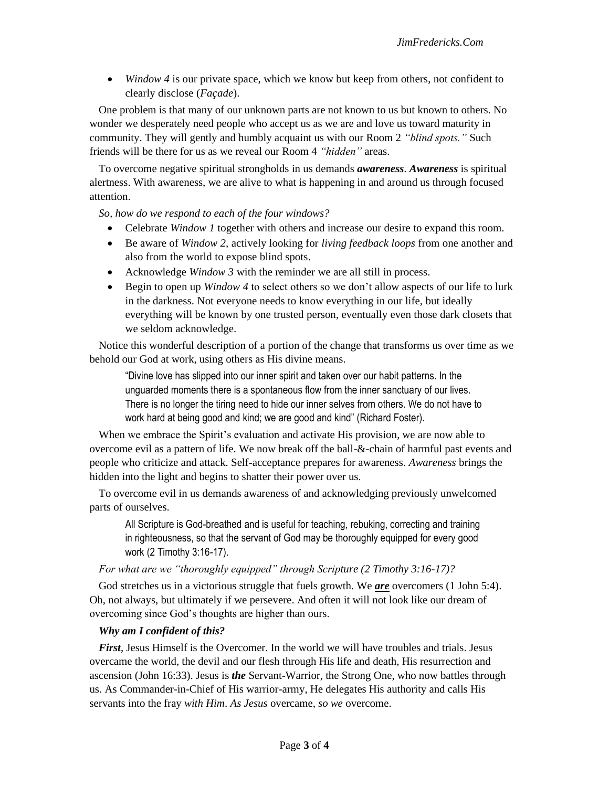• *Window 4* is our private space, which we know but keep from others, not confident to clearly disclose (*Façade*).

One problem is that many of our unknown parts are not known to us but known to others. No wonder we desperately need people who accept us as we are and love us toward maturity in community. They will gently and humbly acquaint us with our Room 2 *"blind spots."* Such friends will be there for us as we reveal our Room 4 *"hidden"* areas.

To overcome negative spiritual strongholds in us demands *awareness*. *Awareness* is spiritual alertness. With awareness, we are alive to what is happening in and around us through focused attention.

*So, how do we respond to each of the four windows?*

- Celebrate *Window 1* together with others and increase our desire to expand this room.
- Be aware of *Window 2,* actively looking for *living feedback loops* from one another and also from the world to expose blind spots.
- Acknowledge *Window 3* with the reminder we are all still in process.
- Begin to open up *Window 4* to select others so we don't allow aspects of our life to lurk in the darkness. Not everyone needs to know everything in our life, but ideally everything will be known by one trusted person, eventually even those dark closets that we seldom acknowledge.

Notice this wonderful description of a portion of the change that transforms us over time as we behold our God at work, using others as His divine means.

"Divine love has slipped into our inner spirit and taken over our habit patterns. In the unguarded moments there is a spontaneous flow from the inner sanctuary of our lives. There is no longer the tiring need to hide our inner selves from others. We do not have to work hard at being good and kind; we are good and kind" (Richard Foster).

When we embrace the Spirit's evaluation and activate His provision, we are now able to overcome evil as a pattern of life. We now break off the ball-&-chain of harmful past events and people who criticize and attack. Self-acceptance prepares for awareness. *Awareness* brings the hidden into the light and begins to shatter their power over us.

To overcome evil in us demands awareness of and acknowledging previously unwelcomed parts of ourselves.

All Scripture is God-breathed and is useful for teaching, rebuking, correcting and training in righteousness, so that the servant of God may be thoroughly equipped for every good work (2 Timothy 3:16-17).

*For what are we "thoroughly equipped" through Scripture (2 Timothy 3:16-17)?* 

God stretches us in a victorious struggle that fuels growth. We *are* overcomers (1 John 5:4). Oh, not always, but ultimately if we persevere. And often it will not look like our dream of overcoming since God's thoughts are higher than ours.

## *Why am I confident of this?*

*First*, Jesus Himself is the Overcomer. In the world we will have troubles and trials. Jesus overcame the world, the devil and our flesh through His life and death, His resurrection and ascension (John 16:33). Jesus is *the* Servant-Warrior, the Strong One, who now battles through us. As Commander-in-Chief of His warrior-army, He delegates His authority and calls His servants into the fray *with Him*. *As Jesus* overcame, *so we* overcome.